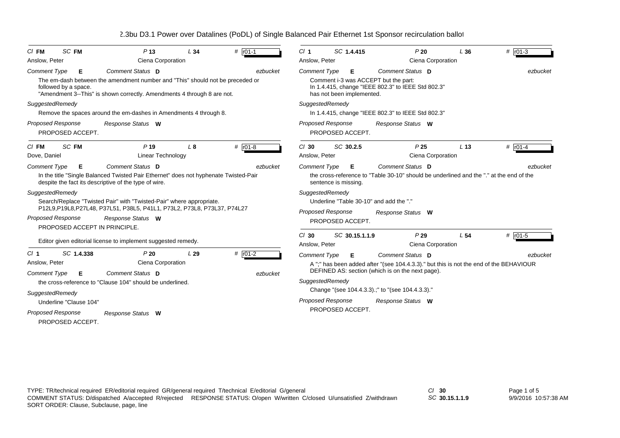| $CI$ FM             | SC FM                                 | P <sub>13</sub>                                                                                                                                          | L34 | # r01-1               | Cl <sub>1</sub>          |                      | SC 1.4.415                | P20                                                                                        | L36             | # $r01-3$ |
|---------------------|---------------------------------------|----------------------------------------------------------------------------------------------------------------------------------------------------------|-----|-----------------------|--------------------------|----------------------|---------------------------|--------------------------------------------------------------------------------------------|-----------------|-----------|
| Anslow, Peter       |                                       | Ciena Corporation                                                                                                                                        |     |                       | Anslow, Peter            |                      |                           | Ciena Corporation                                                                          |                 |           |
| <b>Comment Type</b> | Е                                     | Comment Status D                                                                                                                                         |     | ezbucket              | <b>Comment Type</b>      |                      | Е                         | Comment Status D                                                                           |                 | ezbucket  |
|                     | followed by a space.                  | The em-dash between the amendment number and "This" should not be preceded or<br>"Amendment 3--This" is shown correctly. Amendments 4 through 8 are not. |     |                       |                          |                      | has not been implemented. | Comment i-3 was ACCEPT but the part:<br>In 1.4.415, change "IEEE 802.3" to IEEE Std 802.3" |                 |           |
| SuggestedRemedy     |                                       |                                                                                                                                                          |     |                       | SuggestedRemedy          |                      |                           |                                                                                            |                 |           |
|                     |                                       | Remove the spaces around the em-dashes in Amendments 4 through 8.                                                                                        |     |                       |                          |                      |                           | In 1.4.415, change "IEEE 802.3" to IEEE Std 802.3"                                         |                 |           |
|                     | Proposed Response<br>PROPOSED ACCEPT. | Response Status W                                                                                                                                        |     |                       | <b>Proposed Response</b> |                      | PROPOSED ACCEPT.          | Response Status W                                                                          |                 |           |
| $CI$ FM             | SC FM                                 | P <sub>19</sub>                                                                                                                                          | L8  | # $r01-8$             | $Cl$ 30                  |                      | SC 30.2.5                 | P <sub>25</sub>                                                                            | L <sub>13</sub> | $#$ r01-4 |
| Dove, Daniel        |                                       | Linear Technology                                                                                                                                        |     |                       | Anslow, Peter            |                      |                           | Ciena Corporation                                                                          |                 |           |
| <b>Comment Type</b> | Е                                     | Comment Status D                                                                                                                                         |     | ezbucket              | <b>Comment Type</b>      |                      | Е                         | Comment Status D                                                                           |                 | ezbucket  |
|                     |                                       | In the title "Single Balanced Twisted Pair Ethernet" does not hyphenate Twisted-Pair<br>despite the fact its descriptive of the type of wire.            |     |                       |                          | sentence is missing. |                           | the cross-reference to "Table 30-10" should be underlined and the "." at the end of the    |                 |           |
| SuggestedRemedy     |                                       |                                                                                                                                                          |     |                       | SuggestedRemedy          |                      |                           |                                                                                            |                 |           |
|                     |                                       | Search/Replace "Twisted Pair" with "Twisted-Pair" where appropriate.                                                                                     |     |                       |                          |                      |                           | Underline "Table 30-10" and add the "."                                                    |                 |           |
|                     |                                       | P12L9,P19L8,P27L48, P37L51, P38L5, P41L1, P73L2, P73L8, P73L37, P74L27                                                                                   |     |                       | <b>Proposed Response</b> |                      |                           | Response Status W                                                                          |                 |           |
|                     | Proposed Response                     | Response Status W                                                                                                                                        |     |                       |                          |                      | PROPOSED ACCEPT.          |                                                                                            |                 |           |
|                     |                                       | PROPOSED ACCEPT IN PRINCIPLE.                                                                                                                            |     |                       |                          |                      |                           | P29                                                                                        |                 |           |
|                     |                                       | Editor given editorial license to implement suggested remedy.                                                                                            |     |                       | $Cl$ 30<br>Anslow, Peter |                      | SC 30.15.1.1.9            | Ciena Corporation                                                                          | L <sub>54</sub> | # $ro1-5$ |
| $CI$ 1              | SC 1.4.338                            | P20                                                                                                                                                      | L29 | $#$ r <sub>01-2</sub> | <b>Comment Type</b>      |                      | Е                         | Comment Status D                                                                           |                 | ezbucket  |
| Anslow, Peter       |                                       | Ciena Corporation                                                                                                                                        |     |                       |                          |                      |                           | A ";" has been added after "(see 104.4.3.3)." but this is not the end of the BEHAVIOUR     |                 |           |
| <b>Comment Type</b> | Е                                     | Comment Status D                                                                                                                                         |     | ezbucket              |                          |                      |                           | DEFINED AS: section (which is on the next page).                                           |                 |           |
|                     |                                       | the cross-reference to "Clause 104" should be underlined.                                                                                                |     |                       | SuggestedRemedy          |                      |                           |                                                                                            |                 |           |
| SuggestedRemedy     |                                       |                                                                                                                                                          |     |                       |                          |                      |                           | Change "(see 104.4.3.3).;" to "(see 104.4.3.3)."                                           |                 |           |
|                     | Underline "Clause 104"                |                                                                                                                                                          |     |                       | <b>Proposed Response</b> |                      |                           | Response Status W                                                                          |                 |           |
|                     | Proposed Response                     | Response Status W                                                                                                                                        |     |                       |                          |                      | PROPOSED ACCEPT.          |                                                                                            |                 |           |
|                     | PROPOSED ACCEPT.                      |                                                                                                                                                          |     |                       |                          |                      |                           |                                                                                            |                 |           |
|                     |                                       |                                                                                                                                                          |     |                       |                          |                      |                           |                                                                                            |                 |           |

*SC* **30.15.1.1.9**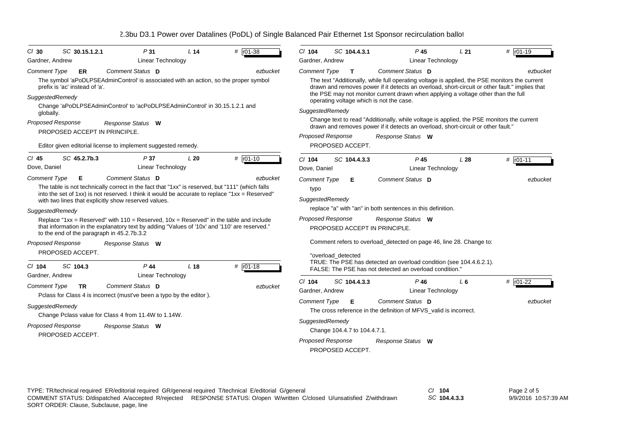| $CI$ 30                                                 | SC 30.15.1.2.1                 | P31                                                                                                                                                                                                                                                                                                                                                                                                                                                                                                                                     | L <sub>14</sub> | # $r01-38$   | $Cl$ 104                                                           | SC 104.4.3.1                  | $P$ 45                                                                                                                                                                                                                                                                                                                           | L21 | $#$ $r01-19$ |
|---------------------------------------------------------|--------------------------------|-----------------------------------------------------------------------------------------------------------------------------------------------------------------------------------------------------------------------------------------------------------------------------------------------------------------------------------------------------------------------------------------------------------------------------------------------------------------------------------------------------------------------------------------|-----------------|--------------|--------------------------------------------------------------------|-------------------------------|----------------------------------------------------------------------------------------------------------------------------------------------------------------------------------------------------------------------------------------------------------------------------------------------------------------------------------|-----|--------------|
| Gardner, Andrew                                         |                                | Linear Technology                                                                                                                                                                                                                                                                                                                                                                                                                                                                                                                       |                 |              | Gardner, Andrew                                                    |                               | Linear Technology                                                                                                                                                                                                                                                                                                                |     |              |
| <b>Comment Type</b>                                     | ER                             | Comment Status D                                                                                                                                                                                                                                                                                                                                                                                                                                                                                                                        |                 | ezbucket     | Comment Type                                                       | $\mathbf{T}$                  | Comment Status D                                                                                                                                                                                                                                                                                                                 |     | ezbucket     |
| SuggestedRemedy                                         | prefix is 'ac' instead of 'a'. | The symbol 'aPoDLPSEAdminControl' is associated with an action, so the proper symbol                                                                                                                                                                                                                                                                                                                                                                                                                                                    |                 |              |                                                                    |                               | The text "Additionally, while full operating voltage is applied, the PSE monitors the current<br>drawn and removes power if it detects an overload, short-circuit or other fault." implies that<br>the PSE may not monitor current drawn when applying a voltage other than the full<br>operating voltage which is not the case. |     |              |
| globally.                                               |                                | Change 'aPoDLPSEAdminControl' to 'acPoDLPSEAdminControl' in 30.15.1.2.1 and                                                                                                                                                                                                                                                                                                                                                                                                                                                             |                 |              | SuggestedRemedy                                                    |                               |                                                                                                                                                                                                                                                                                                                                  |     |              |
| <b>Proposed Response</b>                                | PROPOSED ACCEPT IN PRINCIPLE.  | Response Status W                                                                                                                                                                                                                                                                                                                                                                                                                                                                                                                       |                 |              |                                                                    |                               | Change text to read "Additionally, while voltage is applied, the PSE monitors the current<br>drawn and removes power if it detects an overload, short-circuit or other fault."                                                                                                                                                   |     |              |
|                                                         |                                |                                                                                                                                                                                                                                                                                                                                                                                                                                                                                                                                         |                 |              | Proposed Response                                                  |                               | Response Status W                                                                                                                                                                                                                                                                                                                |     |              |
|                                                         |                                | Editor given editorial license to implement suggested remedy.                                                                                                                                                                                                                                                                                                                                                                                                                                                                           |                 |              | PROPOSED ACCEPT.                                                   |                               |                                                                                                                                                                                                                                                                                                                                  |     |              |
| $CI$ 45<br>Dove, Daniel                                 | SC 45.2.7b.3                   | P37<br><b>Linear Technology</b>                                                                                                                                                                                                                                                                                                                                                                                                                                                                                                         | L20             | $# 101-10$   | $Cl$ 104<br>Dove, Daniel                                           | SC 104.4.3.3                  | $P$ 45<br>Linear Technology                                                                                                                                                                                                                                                                                                      | L28 | $# 101-11$   |
| <b>Comment Type</b>                                     | Е                              | Comment Status D                                                                                                                                                                                                                                                                                                                                                                                                                                                                                                                        |                 | ezbucket     | <b>Comment Type</b>                                                | Е                             | Comment Status D                                                                                                                                                                                                                                                                                                                 |     | ezbucket     |
| SuggestedRemedy<br><b>Proposed Response</b><br>$Cl$ 104 | PROPOSED ACCEPT.<br>SC 104.3   | The table is not technically correct in the fact that "1xx" is reserved, but "111" (which falls<br>into the set of 1xx) is not reserved. I think it would be accurate to replace " $1xx =$ Reserved"<br>with two lines that explicitly show reserved values.<br>Replace "1xx = Reserved" with $110$ = Reserved, $10x$ = Reserved" in the table and include<br>that information in the explanatory text by adding "Values of '10x' and '110' are reserved."<br>to the end of the paragraph in 45.2.7b.3.2<br>Response Status W<br>$P$ 44 | L <sub>18</sub> | # $r01 - 18$ | typo<br>SuggestedRemedy<br>Proposed Response<br>"overload_detected | PROPOSED ACCEPT IN PRINCIPLE. | replace "a" with "an" in both sentences in this definition.<br>Response Status W<br>Comment refers to overload_detected on page 46, line 28. Change to:<br>TRUE: The PSE has detected an overload condition (see 104.4.6.2.1).                                                                                                   |     |              |
| Gardner, Andrew<br><b>Comment Type</b>                  | <b>TR</b>                      | Linear Technology<br>Comment Status D                                                                                                                                                                                                                                                                                                                                                                                                                                                                                                   |                 | ezbucket     | $Cl$ 104                                                           | SC 104.4.3.3                  | FALSE: The PSE has not detected an overload condition."<br>$P$ 46                                                                                                                                                                                                                                                                | L6  | # r01-22     |
|                                                         |                                | Polass for Class 4 is incorrect (must've been a typo by the editor).                                                                                                                                                                                                                                                                                                                                                                                                                                                                    |                 |              | Gardner, Andrew                                                    |                               | <b>Linear Technology</b>                                                                                                                                                                                                                                                                                                         |     |              |
| SuggestedRemedy                                         |                                |                                                                                                                                                                                                                                                                                                                                                                                                                                                                                                                                         |                 |              | <b>Comment Type</b>                                                | Е                             | Comment Status D<br>The cross reference in the definition of MFVS valid is incorrect.                                                                                                                                                                                                                                            |     | ezbucket     |
| Proposed Response                                       | PROPOSED ACCEPT.               | Change Pclass value for Class 4 from 11.4W to 1.14W.<br>Response Status W                                                                                                                                                                                                                                                                                                                                                                                                                                                               |                 |              | SuggestedRemedy                                                    | Change 104.4.7 to 104.4.7.1.  |                                                                                                                                                                                                                                                                                                                                  |     |              |

*SC* **104.4.3.3**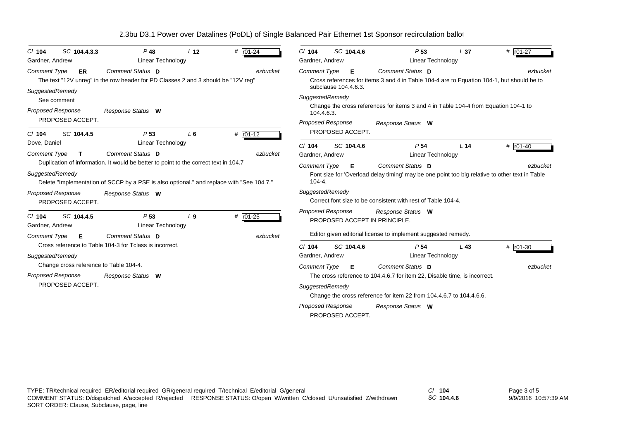| SC 104.4.3.3<br>$CI$ 104                  | $P$ 48                                                                                   | L <sub>12</sub> | # r01-24   | $CI$ 104                 | SC 104.4.6           | P <sub>53</sub>                                                                                | L <sub>37</sub> | # $r01-27$ |
|-------------------------------------------|------------------------------------------------------------------------------------------|-----------------|------------|--------------------------|----------------------|------------------------------------------------------------------------------------------------|-----------------|------------|
| Gardner, Andrew                           | <b>Linear Technology</b>                                                                 |                 |            | Gardner, Andrew          |                      | Linear Technology                                                                              |                 |            |
| <b>Comment Type</b><br>ER                 | Comment Status D                                                                         |                 | ezbucket   | <b>Comment Type</b>      | Е                    | Comment Status D                                                                               |                 | ezbucket   |
|                                           | The text "12V unreg" in the row header for PD Classes 2 and 3 should be "12V reg"        |                 |            |                          |                      | Cross references for items 3 and 4 in Table 104-4 are to Equation 104-1, but should be to      |                 |            |
| SuggestedRemedy                           |                                                                                          |                 |            |                          | subclause 104.4.6.3. |                                                                                                |                 |            |
| See comment                               |                                                                                          |                 |            | SuggestedRemedy          |                      |                                                                                                |                 |            |
| <b>Proposed Response</b>                  | Response Status W                                                                        |                 |            | 104.4.6.3.               |                      | Change the cross references for items 3 and 4 in Table 104-4 from Equation 104-1 to            |                 |            |
| PROPOSED ACCEPT.                          |                                                                                          |                 |            | <b>Proposed Response</b> |                      | Response Status W                                                                              |                 |            |
| SC 104.4.5<br>$CI$ 104                    | P <sub>53</sub>                                                                          | $L_6$           | # r01-12   |                          | PROPOSED ACCEPT.     |                                                                                                |                 |            |
| Dove, Daniel                              | <b>Linear Technology</b>                                                                 |                 |            | $Cl$ 104                 | SC 104.4.6           | P <sub>54</sub>                                                                                | L <sub>14</sub> | # $r01-40$ |
| Comment Type<br>$\mathbf{T}$              | <b>Comment Status D</b>                                                                  |                 | ezbucket   | Gardner, Andrew          |                      | <b>Linear Technology</b>                                                                       |                 |            |
|                                           | Duplication of information. It would be better to point to the correct text in 104.7     |                 |            | <b>Comment Type</b>      | Е                    | Comment Status D                                                                               |                 | ezbucket   |
| SuggestedRemedy                           | Delete "Implementation of SCCP by a PSE is also optional." and replace with "See 104.7." |                 |            | $104 - 4.$               |                      | Font size for 'Overload delay timing' may be one point too big relative to other text in Table |                 |            |
| <b>Proposed Response</b>                  | Response Status W                                                                        |                 |            | SuggestedRemedy          |                      |                                                                                                |                 |            |
| PROPOSED ACCEPT.                          |                                                                                          |                 |            |                          |                      | Correct font size to be consistent with rest of Table 104-4.                                   |                 |            |
|                                           |                                                                                          |                 |            | Proposed Response        |                      | Response Status W                                                                              |                 |            |
| SC 104.4.5<br>$CI$ 104<br>Gardner, Andrew | P <sub>53</sub><br>Linear Technology                                                     | L <sub>9</sub>  | # $r01-25$ |                          |                      | PROPOSED ACCEPT IN PRINCIPLE.                                                                  |                 |            |
|                                           |                                                                                          |                 |            |                          |                      | Editor given editorial license to implement suggested remedy.                                  |                 |            |
| <b>Comment Type</b><br>Е                  | Comment Status D<br>Cross reference to Table 104-3 for Tclass is incorrect.              |                 | ezbucket   |                          |                      |                                                                                                |                 |            |
|                                           |                                                                                          |                 |            | $Cl$ 104                 | SC 104.4.6           | P 54                                                                                           | $L$ 43          | # $r01-30$ |
| SuggestedRemedy                           |                                                                                          |                 |            | Gardner, Andrew          |                      | Linear Technology                                                                              |                 |            |
| Change cross reference to Table 104-4.    |                                                                                          |                 |            | <b>Comment Type</b>      | E                    | Comment Status D                                                                               |                 | ezbucket   |
| <b>Proposed Response</b>                  | Response Status W                                                                        |                 |            |                          |                      | The cross reference to 104.4.6.7 for item 22, Disable time, is incorrect.                      |                 |            |
| PROPOSED ACCEPT.                          |                                                                                          |                 |            | SuggestedRemedy          |                      |                                                                                                |                 |            |
|                                           |                                                                                          |                 |            |                          |                      | Change the cross reference for item 22 from 104.4.6.7 to 104.4.6.6.                            |                 |            |
|                                           |                                                                                          |                 |            | <b>Proposed Response</b> |                      | Response Status W                                                                              |                 |            |
|                                           |                                                                                          |                 |            |                          | PROPOSED ACCEPT.     |                                                                                                |                 |            |

*SC* **104.4.6**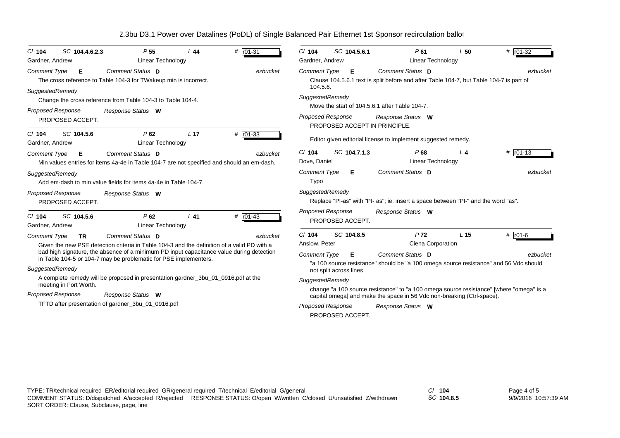| $#$ $r01-31$<br>SC 104.4.6.2.3<br>P <sub>55</sub><br>$CI$ 104<br>L 44<br>Linear Technology<br>Gardner, Andrew                                                | SC 104.5.6.1<br># r01-32<br>$CI$ 104<br>P61<br>L50<br>Linear Technology<br>Gardner, Andrew                                                                        |
|--------------------------------------------------------------------------------------------------------------------------------------------------------------|-------------------------------------------------------------------------------------------------------------------------------------------------------------------|
| Comment Status D<br>ezbucket<br><b>Comment Type</b><br>E<br>The cross reference to Table 104-3 for TWakeup min is incorrect.<br>SuggestedRemedy              | Comment Status D<br><b>Comment Type</b><br>E<br>ezbucket<br>Clause 104.5.6.1 text is split before and after Table 104-7, but Table 104-7 is part of<br>104.5.6.   |
| Change the cross reference from Table 104-3 to Table 104-4.                                                                                                  | SuggestedRemedy<br>Move the start of 104.5.6.1 after Table 104-7.                                                                                                 |
| <b>Proposed Response</b><br>Response Status W<br>PROPOSED ACCEPT.                                                                                            | <b>Proposed Response</b><br>Response Status W<br>PROPOSED ACCEPT IN PRINCIPLE.                                                                                    |
| $# 101-33$<br>SC 104.5.6<br>P62<br>L <sub>17</sub><br>$CI$ 104<br>Linear Technology<br>Gardner, Andrew                                                       | Editor given editorial license to implement suggested remedy.                                                                                                     |
| Comment Status D<br>ezbucket<br><b>Comment Type</b><br>Е<br>Min values entries for items 4a-4e in Table 104-7 are not specified and should an em-dash.       | SC 104.7.1.3<br>$Cl$ 104<br># $\sqrt{101-13}$<br>P68<br>L <sub>4</sub><br>Dove, Daniel<br>Linear Technology                                                       |
| SuggestedRemedy<br>Add em-dash to min value fields for items 4a-4e in Table 104-7.                                                                           | Comment Status D<br><b>Comment Type</b><br>ezbucket<br>Е<br>Typo                                                                                                  |
| <b>Proposed Response</b><br>Response Status W<br>PROPOSED ACCEPT.                                                                                            | SuggestedRemedy<br>Replace "PI-as" with "PI- as"; ie; insert a space between "PI-" and the word "as".                                                             |
| # $r01-43$<br>SC 104.5.6<br>P62<br>$L$ 41<br>$Cl$ 104<br><b>Linear Technology</b><br>Gardner, Andrew                                                         | <b>Proposed Response</b><br>Response Status W<br>PROPOSED ACCEPT.                                                                                                 |
| Comment Status D<br>Comment Type<br>ezbucket<br>TR.<br>Given the new PSE detection criteria in Table 104-3 and the definition of a valid PD with a           | SC 104.8.5<br>P <sub>72</sub><br>L <sub>15</sub><br># $\sqrt{101-6}$<br>$CI$ 104<br>Ciena Corporation<br>Anslow, Peter                                            |
| bad high signature, the absence of a minimum PD input capacitance value during detection<br>in Table 104-5 or 104-7 may be problematic for PSE implementers. | <b>Comment Type</b><br>Comment Status D<br>Е<br>ezbucket<br>"a 100 source resistance" should be "a 100 omega source resistance" and 56 Vdc should                 |
| SuggestedRemedy                                                                                                                                              | not split across lines.                                                                                                                                           |
| A complete remedy will be proposed in presentation gardner_3bu_01_0916.pdf at the<br>meeting in Fort Worth.                                                  | SuggestedRemedy                                                                                                                                                   |
| <b>Proposed Response</b><br>Response Status W                                                                                                                | change "a 100 source resistance" to "a 100 omega source resistance" [where "omega" is a<br>capital omega] and make the space in 56 Vdc non-breaking (Ctrl-space). |
| TFTD after presentation of gardner_3bu_01_0916.pdf                                                                                                           | <b>Proposed Response</b><br>Response Status W<br>PROPOSED ACCEPT.                                                                                                 |

*SC* **104.8.5**